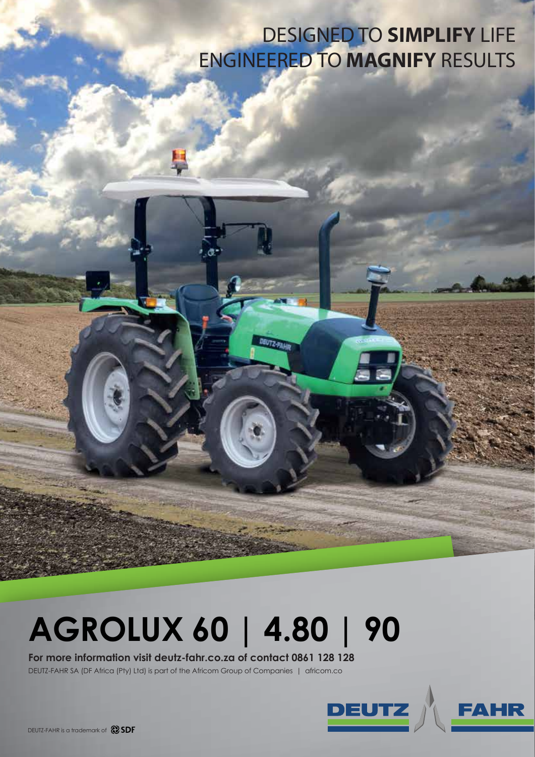## DESIGNED TO **SIMPLIFY** LIFE ENGINEERED TO **MAGNIFY** RESULTS

## **AGROLUX 60 | 4.80 | 90**

**DEUTZ-PAH** 

## **For more information visit deutz-fahr.co.za of contact 0861 128 128**

DEUTZ-FAHR SA (DF Africa (Pty) Ltd) is part of the Africom Group of Companies | africom.co